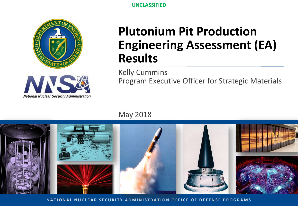

**Plutonium Pit Production Engineering Assessment (EA) Results**

Kelly Cummins Program Executive Officer for Strategic Materials

May 2018



**NATIONAL NUCLEAR SECURITY ADMINISTRATION OFFICE OF DEFENSE PROGRAMS**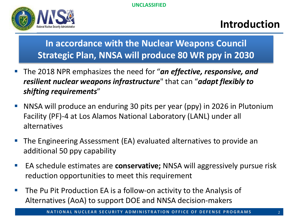

#### **Introduction**

#### **In accordance with the Nuclear Weapons Council Strategic Plan, NNSA will produce 80 WR ppy in 2030**

- The 2018 NPR emphasizes the need for "*an effective, responsive, and resilient nuclear weapons infrastructure*" that can "*adapt flexibly to shifting requirements*"
- NNSA will produce an enduring 30 pits per year (ppy) in 2026 in Plutonium Facility (PF)-4 at Los Alamos National Laboratory (LANL) under all alternatives
- The Engineering Assessment (EA) evaluated alternatives to provide an additional 50 ppy capability
- EA schedule estimates are **conservative;** NNSA will aggressively pursue risk reduction opportunities to meet this requirement
- **The Pu Pit Production EA is a follow-on activity to the Analysis of** Alternatives (AoA) to support DOE and NNSA decision-makers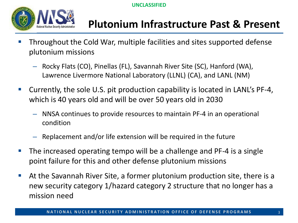

# **Plutonium Infrastructure Past & Present**

- Throughout the Cold War, multiple facilities and sites supported defense plutonium missions
	- Rocky Flats (CO), Pinellas (FL), Savannah River Site (SC), Hanford (WA), Lawrence Livermore National Laboratory (LLNL) (CA), and LANL (NM)
- Currently, the sole U.S. pit production capability is located in LANL's PF-4, which is 40 years old and will be over 50 years old in 2030
	- NNSA continues to provide resources to maintain PF-4 in an operational condition
	- Replacement and/or life extension will be required in the future
- $\blacksquare$  The increased operating tempo will be a challenge and PF-4 is a single point failure for this and other defense plutonium missions
- At the Savannah River Site, a former plutonium production site, there is a new security category 1/hazard category 2 structure that no longer has a mission need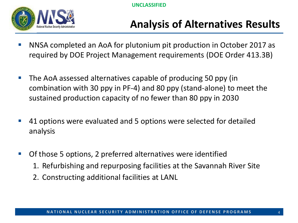

### **Analysis of Alternatives Results**

- NNSA completed an AoA for plutonium pit production in October 2017 as required by DOE Project Management requirements (DOE Order 413.3B)
- **The AoA assessed alternatives capable of producing 50 ppy (in** combination with 30 ppy in PF-4) and 80 ppy (stand-alone) to meet the sustained production capacity of no fewer than 80 ppy in 2030
- **41 options were evaluated and 5 options were selected for detailed** analysis
- Of those 5 options, 2 preferred alternatives were identified
	- 1. Refurbishing and repurposing facilities at the Savannah River Site
	- 2. Constructing additional facilities at LANL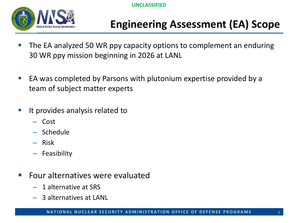

# **Engineering Assessment (EA) Scope**

- **The EA analyzed 50 WR ppy capacity options to complement an enduring** 30 WR ppy mission beginning in 2026 at LANL
- EA was completed by Parsons with plutonium expertise provided by a team of subject matter experts
- $\blacksquare$  It provides analysis related to
	- Cost
	- Schedule
	- Risk
	- Feasibility
- **Four alternatives were evaluated** 
	- 1 alternative at SRS
	- 3 alternatives at LANL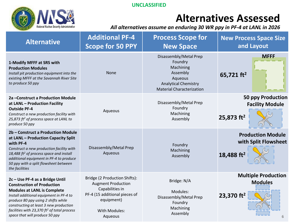

#### **Alternatives Assessed**

*All alternatives assume an enduring 30 WR ppy in PF-4 at LANL in 2026*

| <b>Alternative</b>                                                                                                                                                                                                                                                                                                                  | <b>Additional PF-4</b><br><b>Scope for 50 PPY</b>                                                                                                               | <b>Process Scope for</b><br><b>New Space</b>                                                                                             | <b>New Process Space Size</b><br>and Layout                                |
|-------------------------------------------------------------------------------------------------------------------------------------------------------------------------------------------------------------------------------------------------------------------------------------------------------------------------------------|-----------------------------------------------------------------------------------------------------------------------------------------------------------------|------------------------------------------------------------------------------------------------------------------------------------------|----------------------------------------------------------------------------|
| 1-Modify MFFF at SRS with<br><b>Production Modules</b><br>Install pit production equipment into the<br>existing MFFF at the Savannah River Site<br>to produce 50 ppy                                                                                                                                                                | <b>None</b>                                                                                                                                                     | Disassembly/Metal Prep<br>Foundry<br>Machining<br>Assembly<br>Aqueous<br><b>Analytical Chemistry</b><br><b>Material Characterization</b> | <b>MFFF</b><br>65,721 $ft2$                                                |
| 2a - Construct a Production Module<br>at LANL - Production Facility<br><b>Outside PF-4</b><br>Construct a new production facility with<br>25,873 ft <sup>2</sup> of process space at LANL to<br>produce 50 ppy                                                                                                                      | Aqueous                                                                                                                                                         | Disassembly/Metal Prep<br>Foundry<br>Machining<br>Assembly                                                                               | <b>50 ppy Production</b><br><b>Facility Module</b><br>25,873 $ft2$         |
| 2b - Construct a Production Module<br>at LANL - Production Capacity Split<br>with PF-4<br>Construct a new production facility with<br>18,488 ft <sup>2</sup> of process space and install<br>additional equipment in PF-4 to produce<br>50 ppy with a split flowsheet between<br>the facilities                                     | Disassembly/Metal Prep<br>Aqueous                                                                                                                               | Foundry<br>Machining<br>Assembly                                                                                                         | <b>Production Module</b><br>with Split Flowsheet<br>18,488 ft <sup>2</sup> |
| 2c - Use PF-4 as a Bridge Until<br><b>Construction of Production</b><br><b>Modules at LANL is Complete</b><br>Install additional equipment in PF-4 to<br>produce 80 ppy using 2 shifts while<br>constructing at least 3 new production<br>facilities with 23,370 ft <sup>2</sup> of total process<br>space that will produce 50 ppy | Bridge (2 Production Shifts):<br><b>Augment Production</b><br>Capabilities in<br>PF-4 (15 additional pieces of<br>equipment)<br><b>With Modules:</b><br>Aqueous | Bridge: N/A<br>Modules:<br>Disassembly/Metal Prep<br>Foundry<br>Machining<br>Assembly                                                    | <b>Multiple Production</b><br><b>Modules</b><br>23,370 $ft2$<br>6          |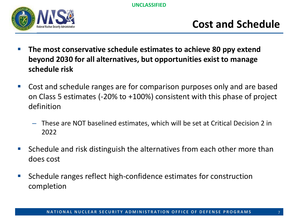

#### **Cost and Schedule**

- **The most conservative schedule estimates to achieve 80 ppy extend beyond 2030 for all alternatives, but opportunities exist to manage schedule risk**
- Cost and schedule ranges are for comparison purposes only and are based on Class 5 estimates (-20% to +100%) consistent with this phase of project definition
	- These are NOT baselined estimates, which will be set at Critical Decision 2 in 2022
- Schedule and risk distinguish the alternatives from each other more than does cost
- Schedule ranges reflect high-confidence estimates for construction completion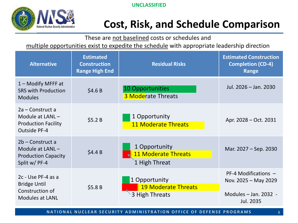



#### **Cost, Risk, and Schedule Comparison**

These are not baselined costs or schedules and

multiple opportunities exist to expedite the schedule with appropriate leadership direction

| <b>Alternative</b>                                                                          | <b>Estimated</b><br><b>Construction</b><br><b>Range High End</b> | <b>Residual Risks</b>                                         | <b>Estimated Construction</b><br><b>Completion (CD-4)</b><br>Range                   |
|---------------------------------------------------------------------------------------------|------------------------------------------------------------------|---------------------------------------------------------------|--------------------------------------------------------------------------------------|
| $1 -$ Modify MFFF at<br><b>SRS with Production</b><br><b>Modules</b>                        | \$4.6B                                                           | 10 Opportunities<br><b>3 Moderate Threats</b>                 | Jul. 2026 - Jan. 2030                                                                |
| 2a – Construct a<br>Module at $LANL -$<br><b>Production Facility</b><br><b>Outside PF-4</b> | \$5.2B                                                           | 1 Opportunity<br><b>11 Moderate Threats</b>                   | Apr. 2028 – Oct. 2031                                                                |
| 2b – Construct a<br>Module at $LANL -$<br><b>Production Capacity</b><br>Split w/ PF-4       | \$4.4B                                                           | 1 Opportunity<br><b>11 Moderate Threats</b><br>1 High Threat  | Mar. 2027 – Sep. 2030                                                                |
| 2c - Use PF-4 as a<br><b>Bridge Until</b><br>Construction of<br><b>Modules at LANL</b>      | \$5.8B                                                           | 1 Opportunity<br><b>19 Moderate Threats</b><br>3 High Threats | PF-4 Modifications -<br>Nov. 2025 - May 2029<br>Modules $-$ Jan. 2032 -<br>Jul. 2035 |

**NATIONAL NUCLEAR SECURITY ADMINISTRATION OFFICE OF DEFENSE PROGRAMS**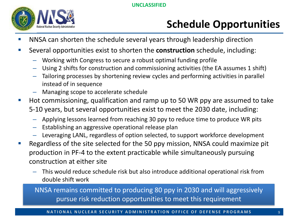

# **Schedule Opportunities**

- NNSA can shorten the schedule several years through leadership direction
- Several opportunities exist to shorten the **construction** schedule, including:
	- Working with Congress to secure a robust optimal funding profile
	- Using 2 shifts for construction and commissioning activities (the EA assumes 1 shift)
	- Tailoring processes by shortening review cycles and performing activities in parallel instead of in sequence
	- Managing scope to accelerate schedule
- Hot commissioning, qualification and ramp up to 50 WR ppy are assumed to take 5-10 years, but several opportunities exist to meet the 2030 date, including:
	- Applying lessons learned from reaching 30 ppy to reduce time to produce WR pits
	- Establishing an aggressive operational release plan
	- Leveraging LANL, regardless of option selected, to support workforce development
- Regardless of the site selected for the 50 ppy mission, NNSA could maximize pit production in PF-4 to the extent practicable while simultaneously pursuing construction at either site
	- This would reduce schedule risk but also introduce additional operational risk from double shift work

NNSA remains committed to producing 80 ppy in 2030 and will aggressively pursue risk reduction opportunities to meet this requirement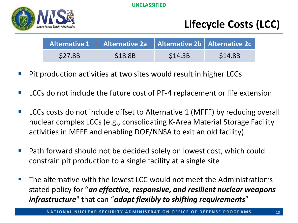

# **Lifecycle Costs (LCC)**

|               | Alternative 1   Alternative 2a   Alternative 2b   Alternative 2c |         |               |
|---------------|------------------------------------------------------------------|---------|---------------|
| <b>S27.8B</b> | \$18.8B                                                          | \$14.3B | <b>S14.8B</b> |

- Pit production activities at two sites would result in higher LCCs
- LCCs do not include the future cost of PF-4 replacement or life extension
- LCCs costs do not include offset to Alternative 1 (MFFF) by reducing overall nuclear complex LCCs (e.g., consolidating K-Area Material Storage Facility activities in MFFF and enabling DOE/NNSA to exit an old facility)
- Path forward should not be decided solely on lowest cost, which could constrain pit production to a single facility at a single site
- The alternative with the lowest LCC would not meet the Administration's stated policy for "*an effective, responsive, and resilient nuclear weapons infrastructure*" that can "*adapt flexibly to shifting requirements*"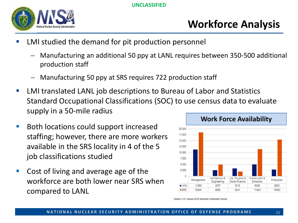

# **Workforce Analysis**

- LMI studied the demand for pit production personnel
	- Manufacturing an additional 50 ppy at LANL requires between 350-500 additional production staff
	- Manufacturing 50 ppy at SRS requires 722 production staff
- **EXTERNIT LMI translated LANL job descriptions to Bureau of Labor and Statistics** Standard Occupational Classifications (SOC) to use census data to evaluate supply in a 50-mile radius
- Both locations could support increased staffing; however, there are more workers available in the SRS locality in 4 of the 5 job classifications studied
- Cost of living and average age of the workforce are both lower near SRS when compared to LANL



Source: U.S. Census 2016 American Community Survey.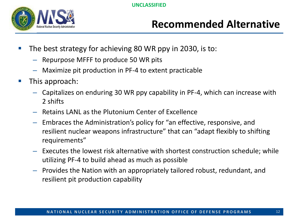

#### **Recommended Alternative**

- The best strategy for achieving 80 WR ppy in 2030, is to:
	- Repurpose MFFF to produce 50 WR pits
	- Maximize pit production in PF-4 to extent practicable
- **This approach:** 
	- Capitalizes on enduring 30 WR ppy capability in PF-4, which can increase with 2 shifts
	- Retains LANL as the Plutonium Center of Excellence
	- Embraces the Administration's policy for "an effective, responsive, and resilient nuclear weapons infrastructure" that can "adapt flexibly to shifting requirements"
	- Executes the lowest risk alternative with shortest construction schedule; while utilizing PF-4 to build ahead as much as possible
	- Provides the Nation with an appropriately tailored robust, redundant, and resilient pit production capability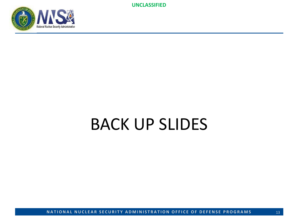

# BACK UP SLIDES

**NATIONAL NUCLEAR SECURITY ADMINISTRATION OFFICE OF DEFENSE PROGRAMS**